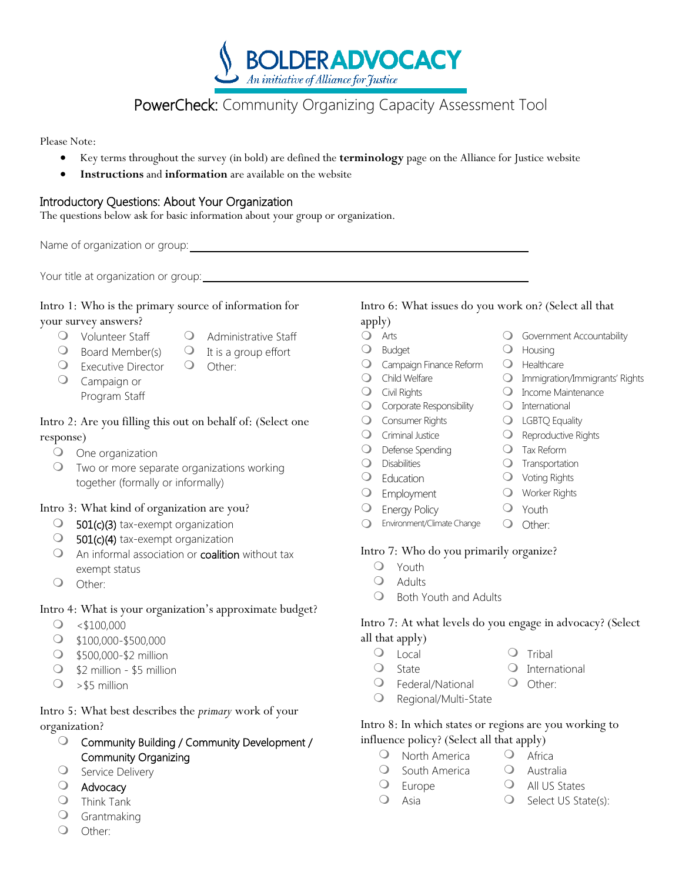**BOLDERADVOCACY** An initiative of Alliance for Justice

# PowerCheck: Community Organizing Capacity Assessment Tool

Please Note:

- Key terms throughout the survey (in bold) are defined the **terminology** page on the Alliance for Justice website
- **Instructions** and **information** are available on the website

### Introductory Questions: About Your Organization

The questions below ask for basic information about your group or organization.

Name of organization or group:  $\blacksquare$ 

Your title at organization or group:

## Intro 1: Who is the primary source of information for

your survey answers?

- Q Volunteer Staff Q Administrative Staff
- $\bigcirc$  Board Member(s)  $\bigcirc$  It is a group effort
	-
- O Executive Director O Other: Campaign or Program Staff

### Intro 2: Are you filling this out on behalf of: (Select one response)

- One organization
- Two or more separate organizations working together (formally or informally)

### Intro 3: What kind of organization are you?

- $\bigcirc$  501(c)(3) tax-exempt organization
- **501(c)(4)** tax-exempt organization
- $\bigcirc$  An informal association or **coalition** without tax exempt status
- Other:

### Intro 4: What is your organization's approximate budget?

- $\circ$  <\$100,000
- \$100,000-\$500,000
- **3500,000-\$2 million**
- \$2 million \$5 million
- $\bigcirc$  > \$5 million

### Intro 5: What best describes the *primary* work of your organization?

- Community Building / Community Development / Community Organizing
- O Service Delivery
- Advocacy
- Think Tank
- Grantmaking
- O Other:

# Intro 6: What issues do you work on? (Select all that

#### apply)

- **O** Arts **Government Accountability**
- O Budget O Housing
- O Campaign Finance Reform O Healthcare
- O Child Welfare **Immigration/Immigrants'** Rights
- 
- $\overline{O}$  Corporate Responsibility  $\overline{O}$  International
- Q Consumer Rights Q LGBTQ Equality
- 
- Q Defense Spending Q Tax Reform
- 
- 
- 
- 
- O Energy Policy **O** Youth O Environment/Climate Change O Other:
- -
	- Adults
	- $\bigcirc$  Both Youth and Adults

### Intro 7: At what levels do you engage in advocacy? (Select all that apply)

- O Local O Tribal
	- O State O International
	-
	- O Federal/National O Other:
	- Regional/Multi-State

### Intro 8: In which states or regions are you working to influence policy? (Select all that apply)

- O North America Q Africa
- O South America O Australia
- O Europe O All US States
	-
- $\bigcirc$  Asia  $\bigcirc$  Select US State(s):
- 
- O Civil Rights **Income Maintenance** 
	-
	-
- O Criminal Justice **Canadian C** Reproductive Rights
	-
- O Disabilities **O** Transportation
- Q Education **Q** Voting Rights
- O Employment O Worker Rights
	-
	-

### Intro 7: Who do you primarily organize?

- Youth
- -

- 
-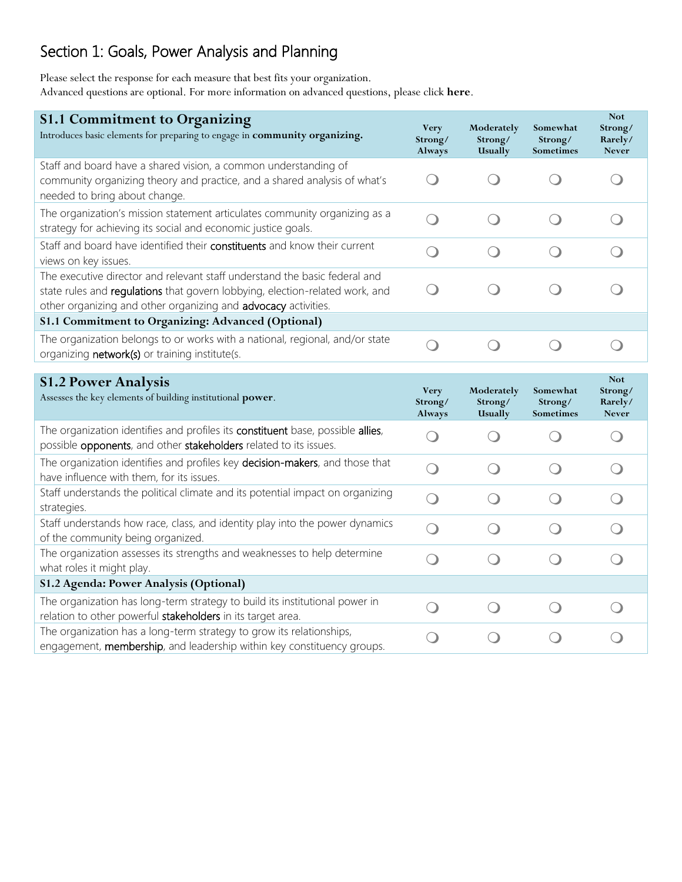# Section 1: Goals, Power Analysis and Planning

Please select the response for each measure that best fits your organization. Advanced questions are optional. For more information on advanced questions, please click **here**.

| <b>S1.1 Commitment to Organizing</b><br>Introduces basic elements for preparing to engage in community organizing.                                                                                                           | <b>Very</b><br>Strong/<br>Always              | Moderately<br>Strong/<br>Usually              | Somewhat<br>Strong/<br>Sometimes | <b>Not</b><br>Strong/<br>Rarely/<br><b>Never</b> |
|------------------------------------------------------------------------------------------------------------------------------------------------------------------------------------------------------------------------------|-----------------------------------------------|-----------------------------------------------|----------------------------------|--------------------------------------------------|
| Staff and board have a shared vision, a common understanding of<br>community organizing theory and practice, and a shared analysis of what's<br>needed to bring about change.                                                | $\left( \begin{array}{c} \end{array} \right)$ |                                               |                                  |                                                  |
| The organization's mission statement articulates community organizing as a<br>strategy for achieving its social and economic justice goals.                                                                                  | $\bigcirc$                                    | $\bigcirc$                                    | $\bigcirc$                       |                                                  |
| Staff and board have identified their constituents and know their current<br>views on key issues.                                                                                                                            | $\bigcirc$                                    | $\left( \begin{array}{c} \end{array} \right)$ | $\overline{\mathcal{C}}$         |                                                  |
| The executive director and relevant staff understand the basic federal and<br>state rules and regulations that govern lobbying, election-related work, and<br>other organizing and other organizing and advocacy activities. | $\bigcirc$                                    | $\bigcirc$                                    | $\bigcirc$                       |                                                  |
| S1.1 Commitment to Organizing: Advanced (Optional)                                                                                                                                                                           |                                               |                                               |                                  |                                                  |
| The organization belongs to or works with a national, regional, and/or state<br>organizing network(s) or training institute(s.                                                                                               | $\bigcirc$                                    | $\bigcirc$                                    | $\bigcirc$                       | $\left( \begin{array}{c} \end{array} \right)$    |
|                                                                                                                                                                                                                              |                                               |                                               |                                  |                                                  |
|                                                                                                                                                                                                                              |                                               |                                               |                                  | <b>Not</b>                                       |
| <b>S1.2 Power Analysis</b><br>Assesses the key elements of building institutional power.                                                                                                                                     | <b>Very</b><br>Strong/<br>Always              | Moderately<br>Strong/<br>Usually              | Somewhat<br>Strong/<br>Sometimes | Strong/<br>Rarely/<br><b>Never</b>               |
| The organization identifies and profiles its constituent base, possible allies,<br>possible opponents, and other stakeholders related to its issues.                                                                         | $\bigcirc$                                    |                                               |                                  | $\bigcirc$                                       |
| The organization identifies and profiles key decision-makers, and those that<br>have influence with them, for its issues.                                                                                                    | $\bigcirc$                                    | $\bigcirc$                                    | $\bigcirc$                       | $\bigcirc$                                       |
| Staff understands the political climate and its potential impact on organizing<br>strategies.                                                                                                                                | $\bigcirc$                                    | $\bigcirc$                                    | $\bigcirc$                       | $\bigcirc$                                       |
| Staff understands how race, class, and identity play into the power dynamics<br>of the community being organized.                                                                                                            | $\bigcirc$                                    | $\bigcirc$                                    | $\bigcirc$                       | $\left( \quad \right)$                           |
| The organization assesses its strengths and weaknesses to help determine<br>what roles it might play.                                                                                                                        | $\bigcirc$                                    | $\bigcirc$                                    | $\bigcirc$                       | $\left( \begin{array}{c} \end{array} \right)$    |
| S1.2 Agenda: Power Analysis (Optional)                                                                                                                                                                                       |                                               |                                               |                                  |                                                  |
| The organization has long-term strategy to build its institutional power in<br>relation to other powerful stakeholders in its target area.                                                                                   | $\left( \begin{array}{c} \end{array} \right)$ | $\left( \begin{array}{c} \end{array} \right)$ |                                  |                                                  |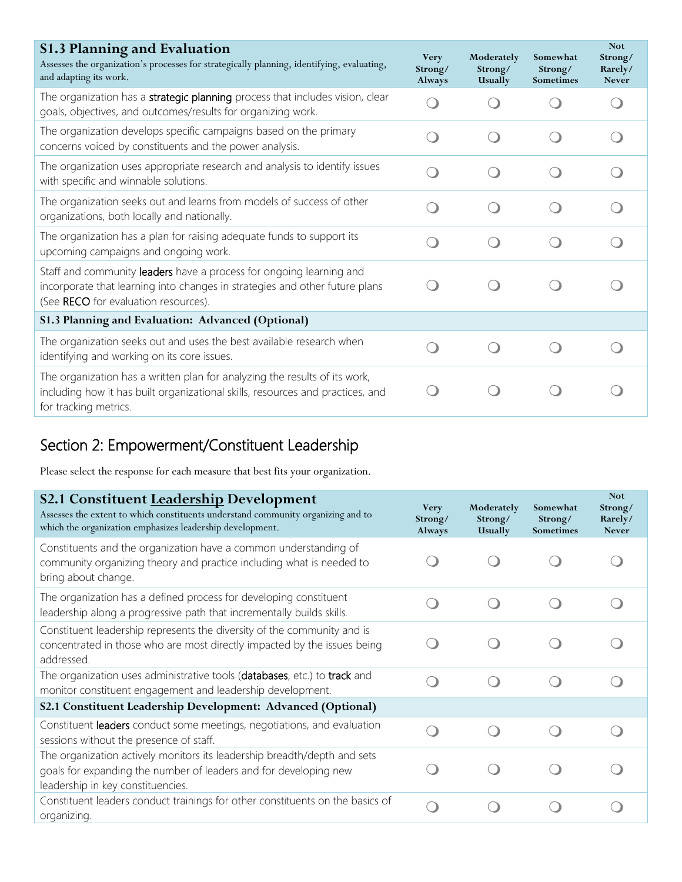| <b>S1.3 Planning and Evaluation</b><br>Assesses the organization's processes for strategically planning, identifying, evaluating,<br>and adapting its work.                                | <b>Very</b><br>Strong/<br>Always | Moderately<br>Strong/<br>Usually | Somewhat<br>Strong/<br>Sometimes | <b>Not</b><br>Strong/<br>Rarely/<br><b>Never</b> |
|--------------------------------------------------------------------------------------------------------------------------------------------------------------------------------------------|----------------------------------|----------------------------------|----------------------------------|--------------------------------------------------|
| The organization has a strategic planning process that includes vision, clear<br>goals, objectives, and outcomes/results for organizing work.                                              |                                  |                                  |                                  |                                                  |
| The organization develops specific campaigns based on the primary<br>concerns voiced by constituents and the power analysis.                                                               |                                  |                                  |                                  |                                                  |
| The organization uses appropriate research and analysis to identify issues<br>with specific and winnable solutions.                                                                        |                                  |                                  |                                  |                                                  |
| The organization seeks out and learns from models of success of other<br>organizations, both locally and nationally.                                                                       |                                  |                                  |                                  |                                                  |
| The organization has a plan for raising adequate funds to support its<br>upcoming campaigns and ongoing work.                                                                              |                                  |                                  |                                  |                                                  |
| Staff and community leaders have a process for ongoing learning and<br>incorporate that learning into changes in strategies and other future plans<br>(See RECO for evaluation resources). |                                  |                                  |                                  |                                                  |
| S1.3 Planning and Evaluation: Advanced (Optional)                                                                                                                                          |                                  |                                  |                                  |                                                  |
| The organization seeks out and uses the best available research when<br>identifying and working on its core issues.                                                                        |                                  |                                  |                                  |                                                  |
| The organization has a written plan for analyzing the results of its work,<br>including how it has built organizational skills, resources and practices, and<br>for tracking metrics.      |                                  |                                  |                                  |                                                  |

# Section 2: Empowerment/Constituent Leadership

Please select the response for each measure that best fits your organization.

| S2.1 Constituent Leadership Development<br>Assesses the extent to which constituents understand community organizing and to<br>which the organization emphasizes leadership development. | <b>Very</b><br>Strong/<br>Always | Moderately<br>Strong/<br>Usually | Somewhat<br>Strong/<br><b>Sometimes</b> | <b>Not</b><br>Strong/<br>Rarely/<br><b>Never</b> |
|------------------------------------------------------------------------------------------------------------------------------------------------------------------------------------------|----------------------------------|----------------------------------|-----------------------------------------|--------------------------------------------------|
| Constituents and the organization have a common understanding of<br>community organizing theory and practice including what is needed to<br>bring about change.                          |                                  |                                  |                                         |                                                  |
| The organization has a defined process for developing constituent<br>leadership along a progressive path that incrementally builds skills.                                               |                                  |                                  |                                         |                                                  |
| Constituent leadership represents the diversity of the community and is<br>concentrated in those who are most directly impacted by the issues being<br>addressed                         |                                  |                                  |                                         |                                                  |
| The organization uses administrative tools (databases, etc.) to track and<br>monitor constituent engagement and leadership development.                                                  |                                  |                                  |                                         |                                                  |
| S2.1 Constituent Leadership Development: Advanced (Optional)                                                                                                                             |                                  |                                  |                                         |                                                  |
| Constituent leaders conduct some meetings, negotiations, and evaluation<br>sessions without the presence of staff.                                                                       |                                  |                                  |                                         |                                                  |
| The organization actively monitors its leadership breadth/depth and sets<br>goals for expanding the number of leaders and for developing new<br>leadership in key constituencies.        |                                  |                                  |                                         |                                                  |
| Constituent leaders conduct trainings for other constituents on the basics of<br>organizing.                                                                                             |                                  |                                  |                                         |                                                  |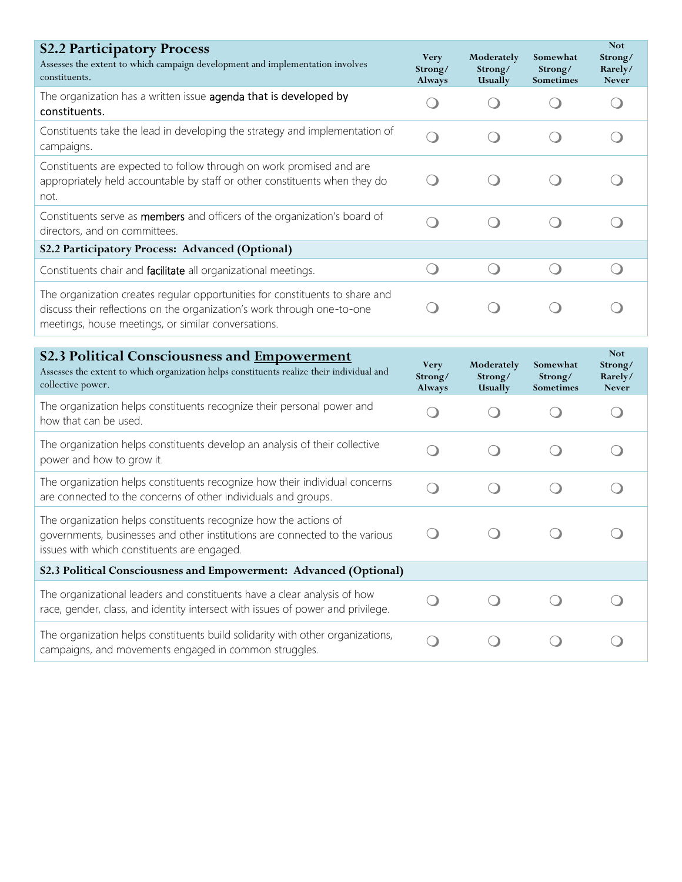| <b>S2.2 Participatory Process</b><br>Assesses the extent to which campaign development and implementation involves<br>constituents.                                                                            | <b>Very</b><br>Strong/<br>Always | Moderately<br>Strong/<br><b>Usually</b> | Somewhat<br>Strong/<br>Sometimes | <b>Not</b><br>Strong/<br>Rarely/<br><b>Never</b> |
|----------------------------------------------------------------------------------------------------------------------------------------------------------------------------------------------------------------|----------------------------------|-----------------------------------------|----------------------------------|--------------------------------------------------|
| The organization has a written issue agenda that is developed by<br>constituents.                                                                                                                              |                                  |                                         |                                  |                                                  |
| Constituents take the lead in developing the strategy and implementation of<br>campaigns.                                                                                                                      |                                  |                                         |                                  |                                                  |
| Constituents are expected to follow through on work promised and are<br>appropriately held accountable by staff or other constituents when they do<br>not.                                                     |                                  |                                         |                                  |                                                  |
| Constituents serve as <b>members</b> and officers of the organization's board of<br>directors, and on committees.                                                                                              |                                  |                                         |                                  |                                                  |
| S2.2 Participatory Process: Advanced (Optional)                                                                                                                                                                |                                  |                                         |                                  |                                                  |
| Constituents chair and facilitate all organizational meetings.                                                                                                                                                 |                                  |                                         |                                  |                                                  |
| The organization creates regular opportunities for constituents to share and<br>discuss their reflections on the organization's work through one-to-one<br>meetings, house meetings, or similar conversations. |                                  |                                         |                                  |                                                  |

| <b>S2.3 Political Consciousness and Empowerment</b><br>Assesses the extent to which organization helps constituents realize their individual and<br>collective power.                          | <b>Very</b><br>Strong/<br>Always | Moderately<br>Strong/<br>Usually | Somewhat<br>Strong/<br><b>Sometimes</b> | <b>Not</b><br>Strong/<br>Rarely/<br><b>Never</b> |
|------------------------------------------------------------------------------------------------------------------------------------------------------------------------------------------------|----------------------------------|----------------------------------|-----------------------------------------|--------------------------------------------------|
| The organization helps constituents recognize their personal power and<br>how that can be used.                                                                                                |                                  |                                  |                                         |                                                  |
| The organization helps constituents develop an analysis of their collective<br>power and how to grow it.                                                                                       |                                  |                                  |                                         |                                                  |
| The organization helps constituents recognize how their individual concerns<br>are connected to the concerns of other individuals and groups.                                                  |                                  |                                  |                                         |                                                  |
| The organization helps constituents recognize how the actions of<br>governments, businesses and other institutions are connected to the various<br>issues with which constituents are engaged. |                                  |                                  |                                         |                                                  |
| S2.3 Political Consciousness and Empowerment: Advanced (Optional)                                                                                                                              |                                  |                                  |                                         |                                                  |
| The organizational leaders and constituents have a clear analysis of how<br>race, gender, class, and identity intersect with issues of power and privilege.                                    |                                  |                                  |                                         |                                                  |
| The organization helps constituents build solidarity with other organizations,<br>campaigns, and movements engaged in common struggles.                                                        |                                  |                                  |                                         |                                                  |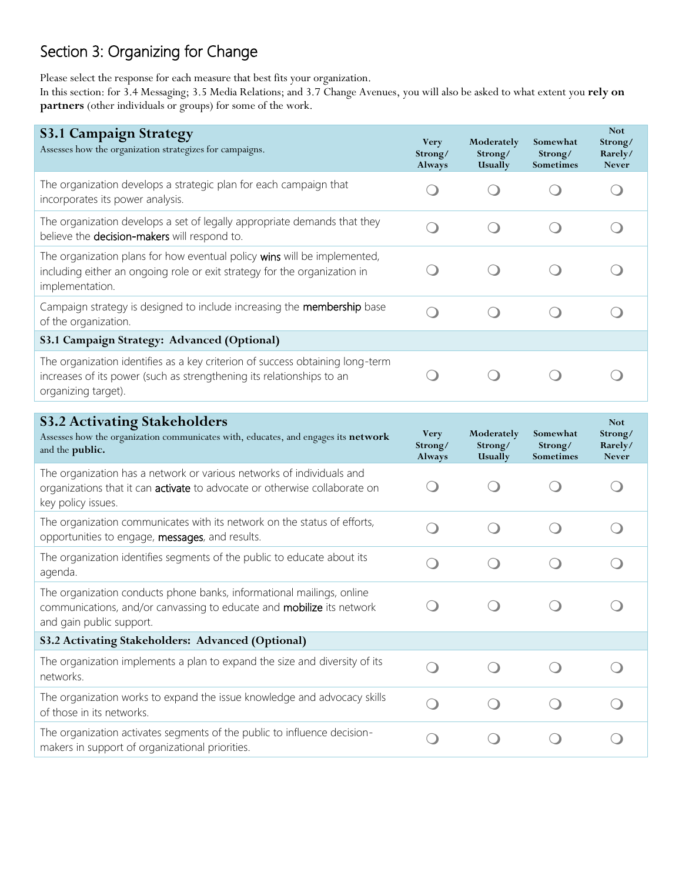# Section 3: Organizing for Change

Please select the response for each measure that best fits your organization.

In this section: for 3.4 Messaging; 3.5 Media Relations; and 3.7 Change Avenues, you will also be asked to what extent you **rely on partners** (other individuals or groups) for some of the work.

| <b>S3.1 Campaign Strategy</b><br>Assesses how the organization strategizes for campaigns.                                                                                     | <b>Very</b><br>Strong/<br>Always              | Moderately<br>Strong/<br>Usually | Somewhat<br>Strong/<br>Sometimes | <b>Not</b><br>Strong/<br>Rarely/<br><b>Never</b> |
|-------------------------------------------------------------------------------------------------------------------------------------------------------------------------------|-----------------------------------------------|----------------------------------|----------------------------------|--------------------------------------------------|
| The organization develops a strategic plan for each campaign that<br>incorporates its power analysis.                                                                         |                                               |                                  |                                  |                                                  |
| The organization develops a set of legally appropriate demands that they<br>believe the decision-makers will respond to.                                                      |                                               |                                  |                                  |                                                  |
| The organization plans for how eventual policy wins will be implemented,<br>including either an ongoing role or exit strategy for the organization in<br>implementation.      |                                               |                                  |                                  |                                                  |
| Campaign strategy is designed to include increasing the membership base<br>of the organization.                                                                               | $\Box$                                        |                                  |                                  |                                                  |
| S3.1 Campaign Strategy: Advanced (Optional)                                                                                                                                   |                                               |                                  |                                  |                                                  |
| The organization identifies as a key criterion of success obtaining long-term<br>increases of its power (such as strengthening its relationships to an<br>organizing target). |                                               |                                  |                                  |                                                  |
|                                                                                                                                                                               |                                               |                                  |                                  |                                                  |
| <b>S3.2 Activating Stakeholders</b><br>Assesses how the organization communicates with, educates, and engages its network<br>and the public.                                  | <b>Very</b><br>Strong/<br>Always              | Moderately<br>Strong/<br>Usually | Somewhat<br>Strong/<br>Sometimes | <b>Not</b><br>Strong/<br>Rarely/<br><b>Never</b> |
| The organization has a network or various networks of individuals and<br>organizations that it can activate to advocate or otherwise collaborate on<br>key policy issues.     | $\left( \begin{array}{c} \end{array} \right)$ |                                  |                                  |                                                  |
| The organization communicates with its network on the status of efforts,<br>opportunities to engage, messages, and results.                                                   | Ω                                             |                                  |                                  |                                                  |
| The organization identifies segments of the public to educate about its<br>agenda.                                                                                            | $\Box$                                        |                                  |                                  |                                                  |
| The organization conducts phone banks, informational mailings, online                                                                                                         |                                               |                                  |                                  |                                                  |

| communications, and/or canvassing to educate and <b>mobilize</b> its network<br>and gain public support.                    |  |  |
|-----------------------------------------------------------------------------------------------------------------------------|--|--|
| S3.2 Activating Stakeholders: Advanced (Optional)                                                                           |  |  |
| The organization implements a plan to expand the size and diversity of its<br>networks.                                     |  |  |
| The organization works to expand the issue knowledge and advocacy skills<br>of those in its networks.                       |  |  |
| The organization activates segments of the public to influence decision-<br>makers in support of organizational priorities. |  |  |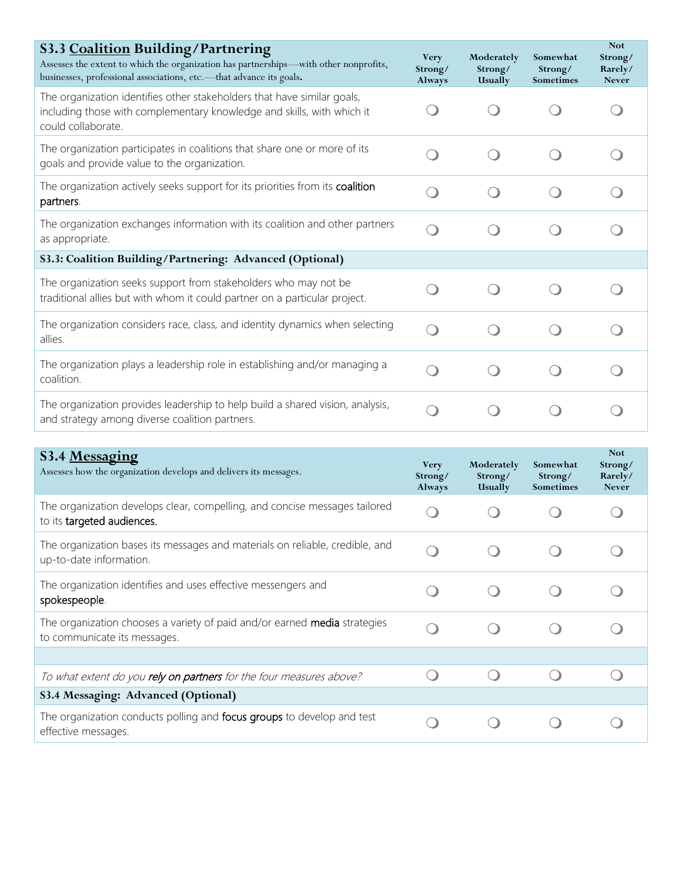| S3.3 Coalition Building/Partnering<br>Assesses the extent to which the organization has partnerships—with other nonprofits,<br>businesses, professional associations, etc.-- that advance its goals. | <b>Very</b><br>Strong/<br>Always | Moderately<br>Strong/<br>Usually | Somewhat<br>Strong/<br>Sometimes | <b>Not</b><br>Strong/<br>Rarely/<br><b>Never</b> |
|------------------------------------------------------------------------------------------------------------------------------------------------------------------------------------------------------|----------------------------------|----------------------------------|----------------------------------|--------------------------------------------------|
| The organization identifies other stakeholders that have similar goals,<br>including those with complementary knowledge and skills, with which it<br>could collaborate.                              |                                  |                                  |                                  |                                                  |
| The organization participates in coalitions that share one or more of its<br>goals and provide value to the organization.                                                                            |                                  |                                  |                                  |                                                  |
| The organization actively seeks support for its priorities from its coalition<br>partners.                                                                                                           |                                  |                                  |                                  |                                                  |
| The organization exchanges information with its coalition and other partners<br>as appropriate.                                                                                                      |                                  |                                  |                                  |                                                  |
| S3.3: Coalition Building/Partnering: Advanced (Optional)                                                                                                                                             |                                  |                                  |                                  |                                                  |
| The organization seeks support from stakeholders who may not be<br>traditional allies but with whom it could partner on a particular project.                                                        |                                  |                                  |                                  |                                                  |
| The organization considers race, class, and identity dynamics when selecting<br>allies.                                                                                                              |                                  |                                  |                                  |                                                  |
| The organization plays a leadership role in establishing and/or managing a<br>coalition.                                                                                                             |                                  |                                  |                                  |                                                  |
| The organization provides leadership to help build a shared vision, analysis,<br>and strategy among diverse coalition partners.                                                                      |                                  |                                  |                                  |                                                  |

| S3.4 Messaging<br>Assesses how the organization develops and delivers its messages.                              | <b>Very</b><br>Strong/<br>Always | Moderately<br>Strong/<br>Usually | Somewhat<br>Strong/<br><b>Sometimes</b> | <b>Not</b><br>Strong/<br>Rarely/<br><b>Never</b> |
|------------------------------------------------------------------------------------------------------------------|----------------------------------|----------------------------------|-----------------------------------------|--------------------------------------------------|
| The organization develops clear, compelling, and concise messages tailored<br>to its targeted audiences.         |                                  |                                  |                                         |                                                  |
| The organization bases its messages and materials on reliable, credible, and<br>up-to-date information.          |                                  |                                  |                                         |                                                  |
| The organization identifies and uses effective messengers and<br>spokespeople.                                   |                                  |                                  |                                         |                                                  |
| The organization chooses a variety of paid and/or earned <b>media</b> strategies<br>to communicate its messages. |                                  |                                  |                                         |                                                  |
|                                                                                                                  |                                  |                                  |                                         |                                                  |
| To what extent do you rely on partners for the four measures above?                                              |                                  |                                  |                                         |                                                  |
| S3.4 Messaging: Advanced (Optional)                                                                              |                                  |                                  |                                         |                                                  |
| The organization conducts polling and <b>focus groups</b> to develop and test<br>effective messages.             |                                  |                                  |                                         |                                                  |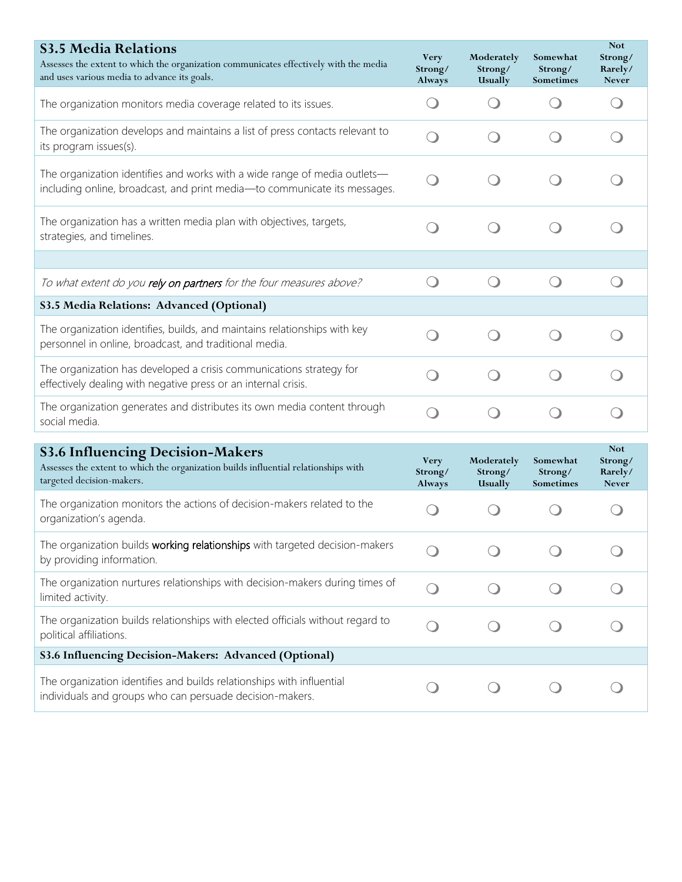| <b>S3.5 Media Relations</b><br>Assesses the extent to which the organization communicates effectively with the media<br>and uses various media to advance its goals. | <b>Very</b><br>Strong/<br>Always | Moderately<br>Strong/<br>Usually | Somewhat<br>Strong/<br>Sometimes | <b>Not</b><br>Strong/<br>Rarely/<br><b>Never</b> |
|----------------------------------------------------------------------------------------------------------------------------------------------------------------------|----------------------------------|----------------------------------|----------------------------------|--------------------------------------------------|
| The organization monitors media coverage related to its issues.                                                                                                      |                                  |                                  |                                  |                                                  |
| The organization develops and maintains a list of press contacts relevant to<br>its program issues(s).                                                               |                                  |                                  |                                  |                                                  |
| The organization identifies and works with a wide range of media outlets-<br>including online, broadcast, and print media-to communicate its messages.               |                                  |                                  |                                  |                                                  |
| The organization has a written media plan with objectives, targets,<br>strategies, and timelines.                                                                    |                                  |                                  |                                  |                                                  |
|                                                                                                                                                                      |                                  |                                  |                                  |                                                  |
| To what extent do you rely on partners for the four measures above?                                                                                                  |                                  |                                  |                                  |                                                  |
| S3.5 Media Relations: Advanced (Optional)                                                                                                                            |                                  |                                  |                                  |                                                  |
| The organization identifies, builds, and maintains relationships with key<br>personnel in online, broadcast, and traditional media.                                  |                                  |                                  |                                  |                                                  |
| The organization has developed a crisis communications strategy for<br>effectively dealing with negative press or an internal crisis.                                |                                  |                                  |                                  |                                                  |
| The organization generates and distributes its own media content through<br>social media.                                                                            |                                  |                                  |                                  |                                                  |
| <b>S3.6 Influencing Decision-Makers</b>                                                                                                                              |                                  |                                  |                                  | <b>Not</b>                                       |
| Assesses the extent to which the organization builds influential relationships with<br>targeted decision-makers.                                                     | <b>Very</b><br>Strong/<br>Always | Moderately<br>Strong/<br>Usually | Somewhat<br>Strong/<br>Sometimes | Strong/<br>Rarely/<br><b>Never</b>               |
| The organization monitors the actions of decision-makers related to the<br>organization's agenda.                                                                    |                                  |                                  |                                  |                                                  |
| The organization builds working relationships with targeted decision-makers<br>by providing information.                                                             |                                  |                                  |                                  |                                                  |
| The organization nurtures relationships with decision-makers during times of<br>limited activity.                                                                    |                                  |                                  |                                  |                                                  |
| The organization builds relationships with elected officials without regard to<br>political affiliations.                                                            |                                  |                                  |                                  |                                                  |
| S3.6 Influencing Decision-Makers: Advanced (Optional)                                                                                                                |                                  |                                  |                                  |                                                  |
| The organization identifies and builds relationships with influential<br>individuals and groups who can persuade decision-makers.                                    |                                  |                                  |                                  |                                                  |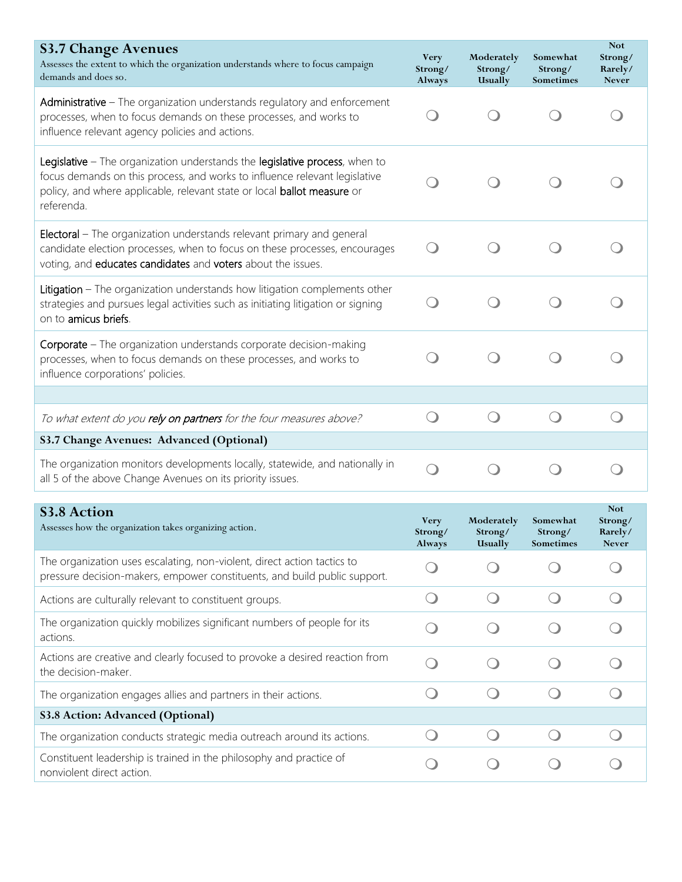| <b>S3.7 Change Avenues</b><br>Assesses the extent to which the organization understands where to focus campaign<br>demands and does so.                                                                                                            | <b>Very</b><br>Strong/<br>Always | Moderately<br>Strong/<br>Usually | Somewhat<br>Strong/<br>Sometimes | <b>Not</b><br>Strong/<br>Rarely/<br><b>Never</b> |
|----------------------------------------------------------------------------------------------------------------------------------------------------------------------------------------------------------------------------------------------------|----------------------------------|----------------------------------|----------------------------------|--------------------------------------------------|
| Administrative - The organization understands regulatory and enforcement<br>processes, when to focus demands on these processes, and works to<br>influence relevant agency policies and actions.                                                   |                                  |                                  |                                  |                                                  |
| Legislative - The organization understands the legislative process, when to<br>focus demands on this process, and works to influence relevant legislative<br>policy, and where applicable, relevant state or local ballot measure or<br>referenda. |                                  |                                  |                                  |                                                  |
| <b>Electoral</b> – The organization understands relevant primary and general<br>candidate election processes, when to focus on these processes, encourages<br>voting, and educates candidates and voters about the issues.                         |                                  |                                  |                                  |                                                  |
| Litigation - The organization understands how litigation complements other<br>strategies and pursues legal activities such as initiating litigation or signing<br>on to amicus briefs.                                                             |                                  |                                  |                                  |                                                  |
| Corporate - The organization understands corporate decision-making<br>processes, when to focus demands on these processes, and works to<br>influence corporations' policies.                                                                       |                                  |                                  |                                  |                                                  |
|                                                                                                                                                                                                                                                    |                                  |                                  |                                  |                                                  |
| To what extent do you rely on partners for the four measures above?                                                                                                                                                                                |                                  |                                  |                                  |                                                  |
| S3.7 Change Avenues: Advanced (Optional)                                                                                                                                                                                                           |                                  |                                  |                                  |                                                  |
| The organization monitors developments locally, statewide, and nationally in<br>all 5 of the above Change Avenues on its priority issues.                                                                                                          |                                  |                                  |                                  |                                                  |
| <b>S3.8 Action</b><br>Assesses how the organization takes organizing action.                                                                                                                                                                       | <b>Very</b><br>Strong/<br>Always | Moderately<br>Strong/<br>Usually | Somewhat<br>Strong/<br>Sometimes | <b>Not</b><br>Strong/<br>Rarely/<br>Never        |
| The organization uses escalating, non-violent, direct action tactics to<br>pressure decision-makers, empower constituents, and build public support.                                                                                               |                                  |                                  |                                  |                                                  |
| Actions are culturally relevant to constituent groups.                                                                                                                                                                                             | $\bigcirc$                       | $\bigcirc$                       | $\bigcirc$                       |                                                  |
| The organization quickly mobilizes significant numbers of people for its<br>actions.                                                                                                                                                               |                                  |                                  |                                  |                                                  |
| Actions are creative and clearly focused to provoke a desired reaction from<br>the decision-maker.                                                                                                                                                 |                                  |                                  |                                  |                                                  |
| The organization engages allies and partners in their actions.                                                                                                                                                                                     | $\Box$                           |                                  |                                  |                                                  |
| <b>S3.8 Action: Advanced (Optional)</b>                                                                                                                                                                                                            |                                  |                                  |                                  |                                                  |
| The organization conducts strategic media outreach around its actions.                                                                                                                                                                             | $\left( \quad \right)$           | $\left( \quad \right)$           | $\left( \quad \right)$           |                                                  |
| Constituent leadership is trained in the philosophy and practice of<br>nonviolent direct action.                                                                                                                                                   |                                  |                                  |                                  |                                                  |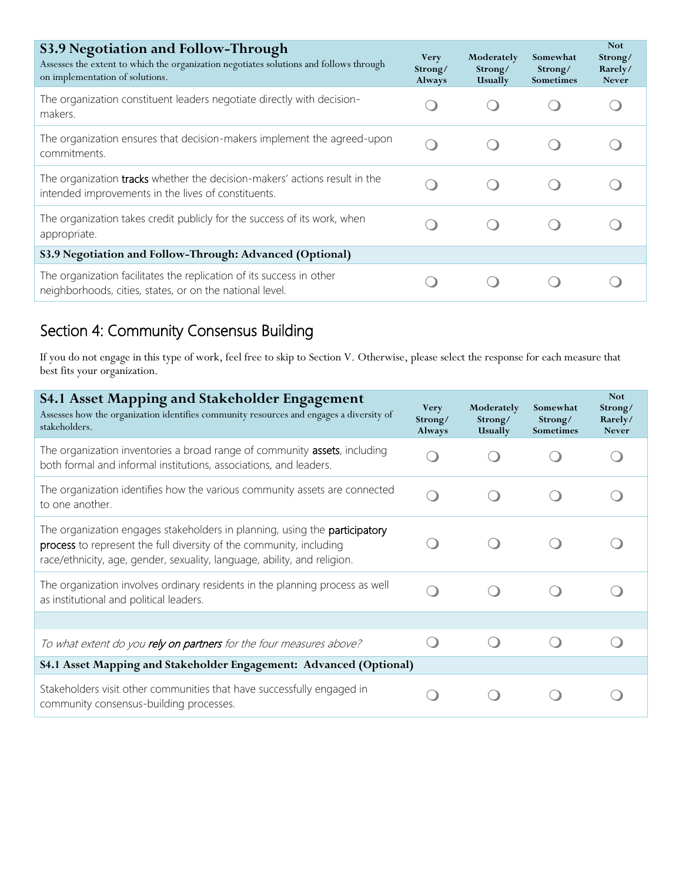| S3.9 Negotiation and Follow-Through<br>Assesses the extent to which the organization negotiates solutions and follows through<br>on implementation of solutions. | <b>Very</b><br>Strong/<br>Always | Moderately<br>Strong/<br><b>Usually</b> | Somewhat<br>Strong/<br><b>Sometimes</b> | <b>Not</b><br>Strong/<br>Rarely/<br><b>Never</b> |
|------------------------------------------------------------------------------------------------------------------------------------------------------------------|----------------------------------|-----------------------------------------|-----------------------------------------|--------------------------------------------------|
| The organization constituent leaders negotiate directly with decision-<br>makers.                                                                                |                                  |                                         |                                         |                                                  |
| The organization ensures that decision-makers implement the agreed-upon<br>commitments.                                                                          |                                  |                                         |                                         |                                                  |
| The organization tracks whether the decision-makers' actions result in the<br>intended improvements in the lives of constituents.                                |                                  |                                         |                                         |                                                  |
| The organization takes credit publicly for the success of its work, when<br>appropriate.                                                                         |                                  |                                         |                                         |                                                  |
| S3.9 Negotiation and Follow-Through: Advanced (Optional)                                                                                                         |                                  |                                         |                                         |                                                  |
| The organization facilitates the replication of its success in other<br>neighborhoods, cities, states, or on the national level.                                 |                                  |                                         |                                         |                                                  |

# Section 4: Community Consensus Building

If you do not engage in this type of work, feel free to skip to Section V. Otherwise, please select the response for each measure that best fits your organization.

| <b>S4.1 Asset Mapping and Stakeholder Engagement</b><br>Assesses how the organization identifies community resources and engages a diversity of<br>stakeholders.                                                              | <b>Very</b><br>Strong/<br>Always | Moderately<br>Strong/<br>Usually | Somewhat<br>Strong/<br>Sometimes | <b>Not</b><br>Strong/<br>Rarely/<br><b>Never</b> |
|-------------------------------------------------------------------------------------------------------------------------------------------------------------------------------------------------------------------------------|----------------------------------|----------------------------------|----------------------------------|--------------------------------------------------|
| The organization inventories a broad range of community assets, including<br>both formal and informal institutions, associations, and leaders.                                                                                |                                  |                                  |                                  |                                                  |
| The organization identifies how the various community assets are connected<br>to one another.                                                                                                                                 |                                  |                                  |                                  |                                                  |
| The organization engages stakeholders in planning, using the participatory<br>process to represent the full diversity of the community, including<br>race/ethnicity, age, gender, sexuality, language, ability, and religion. |                                  |                                  |                                  |                                                  |
| The organization involves ordinary residents in the planning process as well<br>as institutional and political leaders.                                                                                                       |                                  |                                  |                                  |                                                  |
|                                                                                                                                                                                                                               |                                  |                                  |                                  |                                                  |
| To what extent do you rely on partners for the four measures above?                                                                                                                                                           |                                  |                                  |                                  |                                                  |
| S4.1 Asset Mapping and Stakeholder Engagement: Advanced (Optional)                                                                                                                                                            |                                  |                                  |                                  |                                                  |
| Stakeholders visit other communities that have successfully engaged in<br>community consensus-building processes.                                                                                                             |                                  |                                  |                                  |                                                  |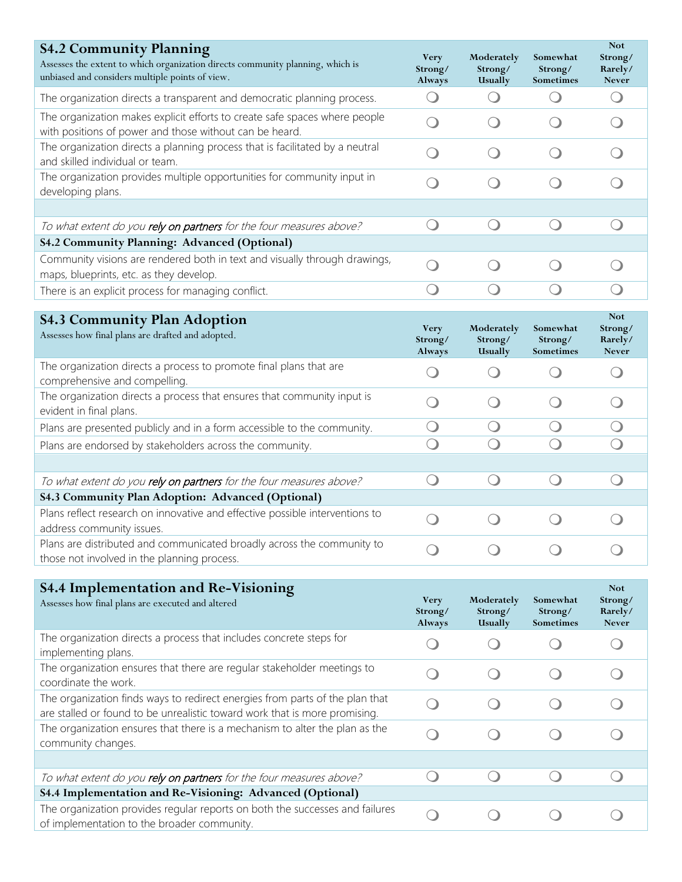| <b>S4.2 Community Planning</b><br>Assesses the extent to which organization directs community planning, which is<br>unbiased and considers multiple points of view. | <b>Very</b><br>Strong/<br>Always | Moderately<br>Strong/<br>Usually | Somewhat<br>Strong/<br>Sometimes | <b>Not</b><br>Strong/<br>Rarely/<br><b>Never</b> |
|---------------------------------------------------------------------------------------------------------------------------------------------------------------------|----------------------------------|----------------------------------|----------------------------------|--------------------------------------------------|
| The organization directs a transparent and democratic planning process.                                                                                             | $\left( \quad \right)$           | $\left( \quad \right)$           |                                  | $\overline{(\phantom{a})}$                       |
| The organization makes explicit efforts to create safe spaces where people<br>with positions of power and those without can be heard.                               |                                  |                                  |                                  |                                                  |
| The organization directs a planning process that is facilitated by a neutral<br>and skilled individual or team.                                                     |                                  |                                  |                                  |                                                  |
| The organization provides multiple opportunities for community input in<br>developing plans.                                                                        |                                  |                                  |                                  |                                                  |
|                                                                                                                                                                     |                                  |                                  |                                  |                                                  |
| To what extent do you rely on partners for the four measures above?                                                                                                 | $\bigcirc$                       | $\left( \quad \right)$           | $\left( \quad \right)$           | $\left( \begin{array}{c} \end{array} \right)$    |
| S4.2 Community Planning: Advanced (Optional)                                                                                                                        |                                  |                                  |                                  |                                                  |
| Community visions are rendered both in text and visually through drawings,<br>maps, blueprints, etc. as they develop.                                               |                                  |                                  |                                  |                                                  |
| There is an explicit process for managing conflict.                                                                                                                 | $\left(\begin{array}{c}\right)$  |                                  |                                  |                                                  |
|                                                                                                                                                                     |                                  |                                  |                                  | <b>Not</b>                                       |
| <b>S4.3 Community Plan Adoption</b><br>Assesses how final plans are drafted and adopted.                                                                            | <b>Very</b><br>Strong/<br>Always | Moderately<br>Strong/<br>Usually | Somewhat<br>Strong/<br>Sometimes | Strong/<br>Rarely/<br><b>Never</b>               |
| The organization directs a process to promote final plans that are<br>comprehensive and compelling.                                                                 |                                  |                                  |                                  |                                                  |
| The organization directs a process that ensures that community input is<br>evident in final plans.                                                                  |                                  |                                  |                                  |                                                  |
| Plans are presented publicly and in a form accessible to the community.                                                                                             | $\bigcirc$                       | $\bigcirc$                       |                                  | $\bigcirc$                                       |
| Plans are endorsed by stakeholders across the community.                                                                                                            |                                  |                                  |                                  |                                                  |
| To what extent do you rely on partners for the four measures above?                                                                                                 |                                  | $\left( \quad \right)$           |                                  |                                                  |
| S4.3 Community Plan Adoption: Advanced (Optional)                                                                                                                   |                                  |                                  |                                  |                                                  |
| Plans reflect research on innovative and effective possible interventions to<br>address community issues.                                                           |                                  |                                  |                                  |                                                  |
| Plans are distributed and communicated broadly across the community to<br>those not involved in the planning process.                                               |                                  |                                  |                                  |                                                  |
|                                                                                                                                                                     |                                  |                                  |                                  |                                                  |
| <b>S4.4 Implementation and Re-Visioning</b><br>Assesses how final plans are executed and altered                                                                    | <b>Very</b><br>Strong/<br>Always | Moderately<br>Strong/<br>Usually | Somewhat<br>Strong/<br>Sometimes | <b>Not</b><br>Strong/<br>Rarely/<br><b>Never</b> |
| The organization directs a process that includes concrete steps for<br>implementing plans.                                                                          |                                  |                                  |                                  |                                                  |
| The organization ensures that there are regular stakeholder meetings to<br>coordinate the work.                                                                     |                                  |                                  |                                  |                                                  |
| The organization finds ways to redirect energies from parts of the plan that<br>are stalled or found to be unrealistic toward work that is more promising.          |                                  |                                  |                                  |                                                  |
| The organization ensures that there is a mechanism to alter the plan as the<br>community changes.                                                                   |                                  |                                  |                                  |                                                  |

| To what extent do you rely on partners for the four measures above?                                                         |  |  |
|-----------------------------------------------------------------------------------------------------------------------------|--|--|
| S4.4 Implementation and Re-Visioning: Advanced (Optional)                                                                   |  |  |
| The organization provides regular reports on both the successes and failures<br>of implementation to the broader community. |  |  |
|                                                                                                                             |  |  |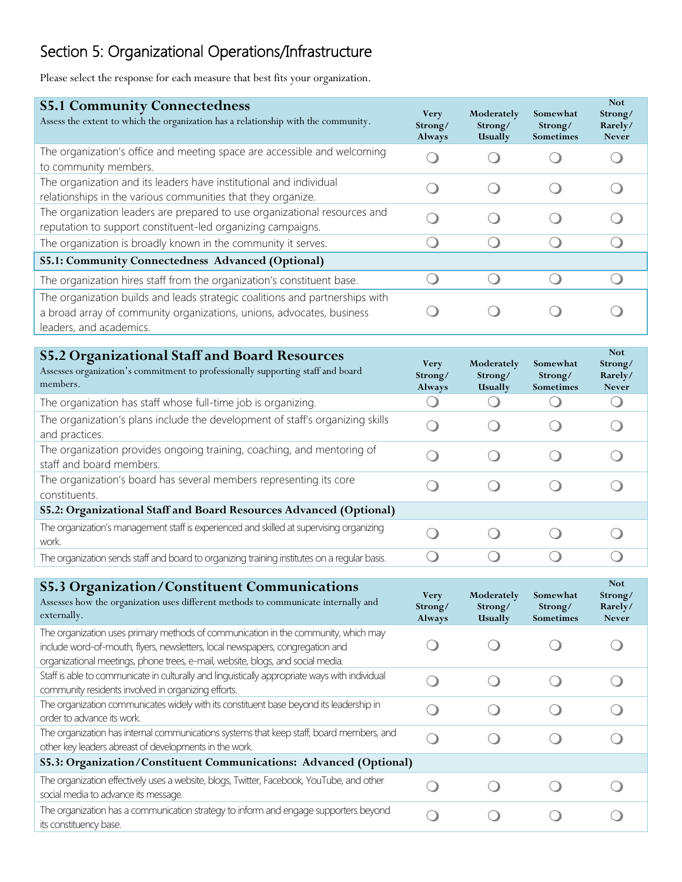# Section 5: Organizational Operations/Infrastructure

Please select the response for each measure that best fits your organization.

| <b>S5.1 Community Connectedness</b><br>Assess the extent to which the organization has a relationship with the community.                                                        | <b>Very</b><br>Strong/<br>Always | Moderately<br>Strong/<br>Usually | Somewhat<br>Strong/<br><b>Sometimes</b> | <b>Not</b><br>Strong/<br>Rarely/<br><b>Never</b> |
|----------------------------------------------------------------------------------------------------------------------------------------------------------------------------------|----------------------------------|----------------------------------|-----------------------------------------|--------------------------------------------------|
| The organization's office and meeting space are accessible and welcoming<br>to community members.                                                                                |                                  |                                  |                                         |                                                  |
| The organization and its leaders have institutional and individual<br>relationships in the various communities that they organize.                                               |                                  |                                  |                                         |                                                  |
| The organization leaders are prepared to use organizational resources and<br>reputation to support constituent-led organizing campaigns.                                         |                                  |                                  |                                         |                                                  |
| The organization is broadly known in the community it serves.                                                                                                                    |                                  |                                  |                                         |                                                  |
| S5.1: Community Connectedness Advanced (Optional)                                                                                                                                |                                  |                                  |                                         |                                                  |
| The organization hires staff from the organization's constituent base.                                                                                                           |                                  |                                  |                                         |                                                  |
| The organization builds and leads strategic coalitions and partnerships with<br>a broad array of community organizations, unions, advocates, business<br>leaders, and academics. |                                  |                                  |                                         |                                                  |

| <b>S5.2 Organizational Staff and Board Resources</b><br>Assesses organization's commitment to professionally supporting staff and board<br>members. | <b>Very</b><br>Strong/<br>Always | Moderately<br>Strong/<br>Usually | Somewhat<br>Strong/<br><b>Sometimes</b> | <b>Not</b><br>Strong/<br>Rarely/<br><b>Never</b> |
|-----------------------------------------------------------------------------------------------------------------------------------------------------|----------------------------------|----------------------------------|-----------------------------------------|--------------------------------------------------|
| The organization has staff whose full-time job is organizing.                                                                                       |                                  |                                  |                                         |                                                  |
| The organization's plans include the development of staff's organizing skills<br>and practices.                                                     |                                  |                                  |                                         |                                                  |
| The organization provides ongoing training, coaching, and mentoring of<br>staff and board members.                                                  |                                  |                                  |                                         |                                                  |
| The organization's board has several members representing its core<br>constituents.                                                                 |                                  |                                  |                                         |                                                  |
| S5.2: Organizational Staff and Board Resources Advanced (Optional)                                                                                  |                                  |                                  |                                         |                                                  |
| The organization's management staff is experienced and skilled at supervising organizing<br>work.                                                   |                                  |                                  |                                         |                                                  |
| The organization sends staff and board to organizing training institutes on a regular basis.                                                        |                                  |                                  |                                         |                                                  |

| <b>S5.3 Organization/Constituent Communications</b><br>Assesses how the organization uses different methods to communicate internally and<br>externally.                                                                                                | <b>Very</b><br>Strong/<br>Always | Moderately<br>Strong/<br>Usually | Somewhat<br>Strong/<br>Sometimes | <b>Not</b><br>Strong/<br>Rarely/<br><b>Never</b> |
|---------------------------------------------------------------------------------------------------------------------------------------------------------------------------------------------------------------------------------------------------------|----------------------------------|----------------------------------|----------------------------------|--------------------------------------------------|
| The organization uses primary methods of communication in the community, which may<br>include word-of-mouth, flyers, newsletters, local newspapers, congregation and<br>organizational meetings, phone trees, e-mail, website, blogs, and social media. |                                  |                                  |                                  |                                                  |
| Staff is able to communicate in culturally and linguistically appropriate ways with individual<br>community residents involved in organizing efforts.                                                                                                   |                                  |                                  |                                  |                                                  |
| The organization communicates widely with its constituent base beyond its leadership in<br>order to advance its work.                                                                                                                                   |                                  |                                  |                                  |                                                  |
| The organization has internal communications systems that keep staff, board members, and<br>other key leaders abreast of developments in the work.                                                                                                      |                                  |                                  |                                  |                                                  |
| S5.3: Organization/Constituent Communications: Advanced (Optional)                                                                                                                                                                                      |                                  |                                  |                                  |                                                  |
| The organization effectively uses a website, blogs, Twitter, Facebook, YouTube, and other<br>social media to advance its message.                                                                                                                       |                                  |                                  |                                  |                                                  |
| The organization has a communication strategy to inform and engage supporters beyond<br>its constituency base.                                                                                                                                          |                                  |                                  |                                  |                                                  |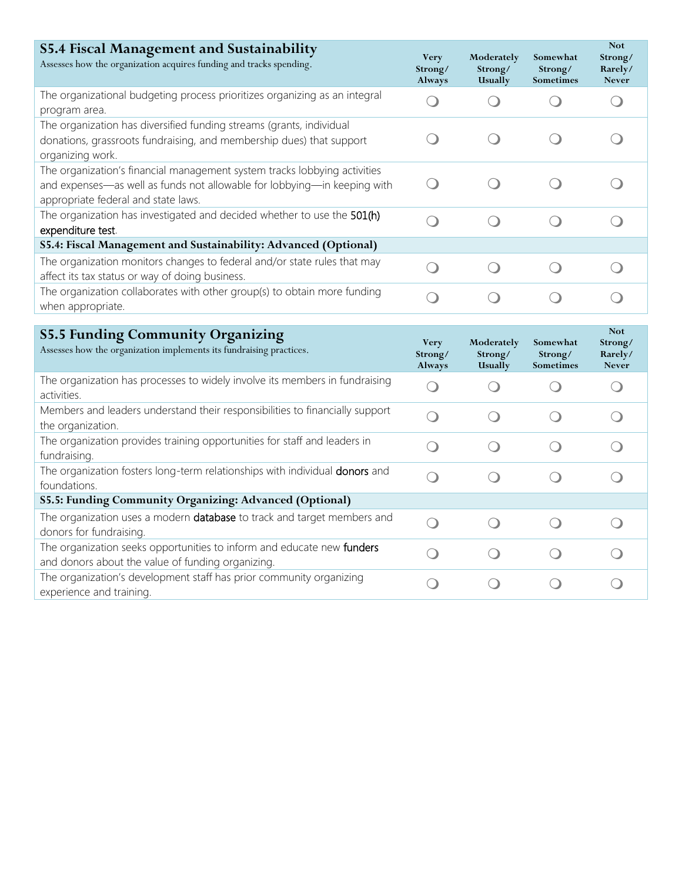| <b>S5.4 Fiscal Management and Sustainability</b><br>Assesses how the organization acquires funding and tracks spending.                                                                      | <b>Very</b><br>Strong/<br>Always              | Moderately<br>Strong/<br>Usually              | Somewhat<br>Strong/<br>Sometimes | <b>Not</b><br>Strong/<br>Rarely/<br><b>Never</b> |
|----------------------------------------------------------------------------------------------------------------------------------------------------------------------------------------------|-----------------------------------------------|-----------------------------------------------|----------------------------------|--------------------------------------------------|
| The organizational budgeting process prioritizes organizing as an integral<br>program area.                                                                                                  | $\left( \begin{array}{c} \end{array} \right)$ | $\left( \begin{array}{c} \end{array} \right)$ |                                  | $\bigcirc$                                       |
| The organization has diversified funding streams (grants, individual<br>donations, grassroots fundraising, and membership dues) that support<br>organizing work.                             | $\left( \begin{array}{c} \end{array} \right)$ | $\left(\begin{array}{c}\right)$               |                                  |                                                  |
| The organization's financial management system tracks lobbying activities<br>and expenses-as well as funds not allowable for lobbying-in keeping with<br>appropriate federal and state laws. | $\left( \begin{array}{c} \end{array} \right)$ |                                               |                                  |                                                  |
| The organization has investigated and decided whether to use the 501(h)<br>expenditure test.                                                                                                 | $\bigcirc$                                    | $\bigcirc$                                    | $\bigcirc$                       | $\left( \begin{array}{c} \end{array} \right)$    |
| S5.4: Fiscal Management and Sustainability: Advanced (Optional)                                                                                                                              |                                               |                                               |                                  |                                                  |
| The organization monitors changes to federal and/or state rules that may<br>affect its tax status or way of doing business.                                                                  | $\bigcirc$                                    | $\bigcirc$                                    | $\bigcirc$                       | $\bigcirc$                                       |
| The organization collaborates with other group(s) to obtain more funding<br>when appropriate.                                                                                                | ∩                                             | $\bigcirc$                                    | $\bigcirc$                       | $\bigcirc$                                       |
|                                                                                                                                                                                              |                                               |                                               |                                  |                                                  |
|                                                                                                                                                                                              |                                               |                                               |                                  | <b>Not</b>                                       |
| <b>S5.5 Funding Community Organizing</b><br>Assesses how the organization implements its fundraising practices.                                                                              | <b>Very</b><br>Strong/<br>Always              | Moderately<br>Strong/<br>Usually              | Somewhat<br>Strong/<br>Sometimes | Strong/<br>Rarely/<br><b>Never</b>               |
| The organization has processes to widely involve its members in fundraising<br>activities.                                                                                                   | $\bigcirc$                                    | $\left( \right)$                              |                                  | $\left( \begin{array}{c} 1 \end{array} \right)$  |
| Members and leaders understand their responsibilities to financially support<br>the organization.                                                                                            | $\bigcirc$                                    | $\bigcirc$                                    | $\bigcirc$                       | $\bigcirc$                                       |
| The organization provides training opportunities for staff and leaders in<br>fundraising.                                                                                                    | $\bigcirc$                                    | $\bigcirc$                                    | $\bigcirc$                       | $\bigcirc$                                       |
| The organization fosters long-term relationships with individual donors and<br>foundations.                                                                                                  | ◯                                             | $\bigcirc$                                    | $\bigcirc$                       | $\bigcirc$                                       |
| S5.5: Funding Community Organizing: Advanced (Optional)                                                                                                                                      |                                               |                                               |                                  |                                                  |
| The organization uses a modern database to track and target members and<br>donors for fundraising.                                                                                           | ∩                                             | ∩                                             | $\bigcirc$                       |                                                  |
| The organization seeks opportunities to inform and educate new funders<br>and donors about the value of funding organizing.                                                                  | $\overline{\phantom{0}}$                      | $\left( \begin{array}{c} \end{array} \right)$ | $\overline{\mathcal{C}}$         |                                                  |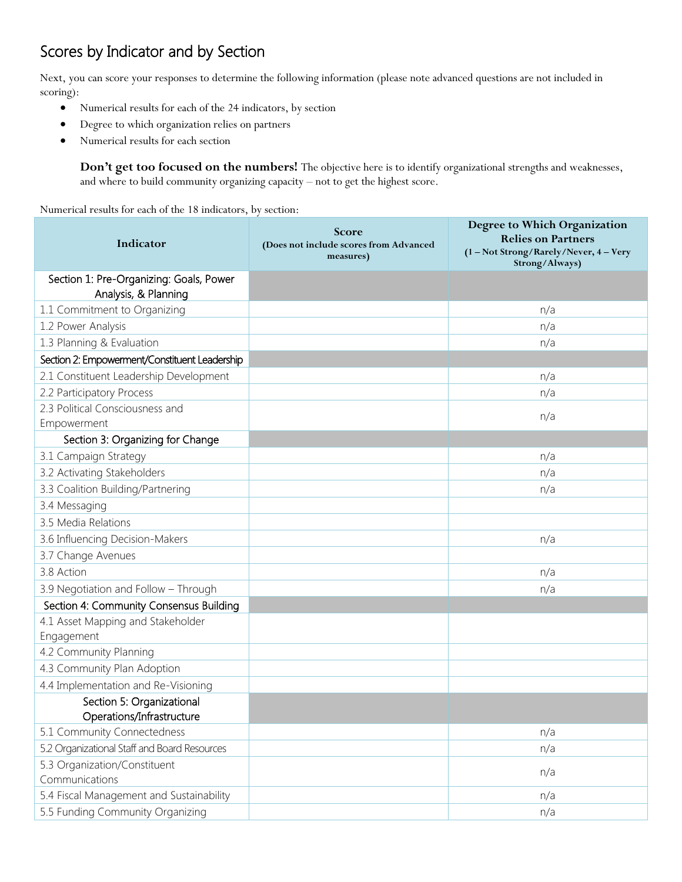# Scores by Indicator and by Section

Next, you can score your responses to determine the following information (please note advanced questions are not included in scoring):

- Numerical results for each of the 24 indicators, by section
- Degree to which organization relies on partners
- Numerical results for each section

**Don't get too focused on the numbers!** The objective here is to identify organizational strengths and weaknesses, and where to build community organizing capacity – not to get the highest score.

Numerical results for each of the 18 indicators, by section:

| Indicator                                                       | Score<br>(Does not include scores from Advanced<br>measures) | Degree to Which Organization<br><b>Relies on Partners</b><br>(1 - Not Strong/Rarely/Never, 4 - Very |
|-----------------------------------------------------------------|--------------------------------------------------------------|-----------------------------------------------------------------------------------------------------|
|                                                                 |                                                              | Strong/Always)                                                                                      |
| Section 1: Pre-Organizing: Goals, Power<br>Analysis, & Planning |                                                              |                                                                                                     |
| 1.1 Commitment to Organizing                                    |                                                              | n/a                                                                                                 |
| 1.2 Power Analysis                                              |                                                              | n/a                                                                                                 |
| 1.3 Planning & Evaluation                                       |                                                              | n/a                                                                                                 |
| Section 2: Empowerment/Constituent Leadership                   |                                                              |                                                                                                     |
| 2.1 Constituent Leadership Development                          |                                                              | n/a                                                                                                 |
| 2.2 Participatory Process                                       |                                                              | n/a                                                                                                 |
| 2.3 Political Consciousness and                                 |                                                              | n/a                                                                                                 |
| Empowerment                                                     |                                                              |                                                                                                     |
| Section 3: Organizing for Change                                |                                                              |                                                                                                     |
| 3.1 Campaign Strategy                                           |                                                              | n/a                                                                                                 |
| 3.2 Activating Stakeholders                                     |                                                              | n/a                                                                                                 |
| 3.3 Coalition Building/Partnering                               |                                                              | n/a                                                                                                 |
| 3.4 Messaging                                                   |                                                              |                                                                                                     |
| 3.5 Media Relations                                             |                                                              |                                                                                                     |
| 3.6 Influencing Decision-Makers                                 |                                                              | n/a                                                                                                 |
| 3.7 Change Avenues                                              |                                                              |                                                                                                     |
| 3.8 Action                                                      |                                                              | n/a                                                                                                 |
| 3.9 Negotiation and Follow - Through                            |                                                              | n/a                                                                                                 |
| Section 4: Community Consensus Building                         |                                                              |                                                                                                     |
| 4.1 Asset Mapping and Stakeholder                               |                                                              |                                                                                                     |
| Engagement                                                      |                                                              |                                                                                                     |
| 4.2 Community Planning                                          |                                                              |                                                                                                     |
| 4.3 Community Plan Adoption                                     |                                                              |                                                                                                     |
| 4.4 Implementation and Re-Visioning                             |                                                              |                                                                                                     |
| Section 5: Organizational<br>Operations/Infrastructure          |                                                              |                                                                                                     |
| 5.1 Community Connectedness                                     |                                                              | n/a                                                                                                 |
| 5.2 Organizational Staff and Board Resources                    |                                                              | n/a                                                                                                 |
| 5.3 Organization/Constituent<br>Communications                  |                                                              | n/a                                                                                                 |
| 5.4 Fiscal Management and Sustainability                        |                                                              | n/a                                                                                                 |
| 5.5 Funding Community Organizing                                |                                                              | n/a                                                                                                 |